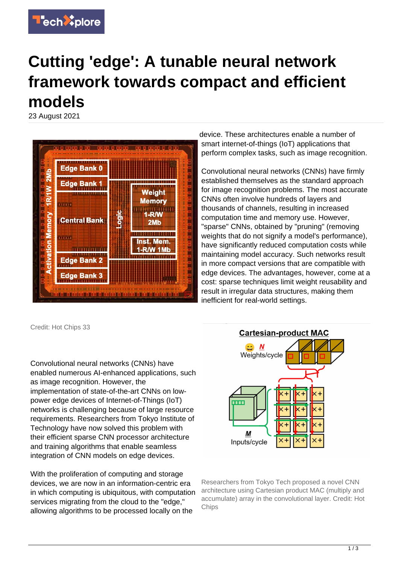

## **Cutting 'edge': A tunable neural network framework towards compact and efficient models**

23 August 2021



Credit: Hot Chips 33

Convolutional neural networks (CNNs) have enabled numerous AI-enhanced applications, such as image recognition. However, the implementation of state-of-the-art CNNs on lowpower edge devices of Internet-of-Things (IoT) networks is challenging because of large resource requirements. Researchers from Tokyo Institute of Technology have now solved this problem with their efficient sparse CNN processor architecture and training algorithms that enable seamless integration of CNN models on edge devices.

With the proliferation of computing and storage devices, we are now in an information-centric era in which computing is ubiquitous, with computation services migrating from the cloud to the "edge," allowing algorithms to be processed locally on the

device. These architectures enable a number of smart internet-of-things (IoT) applications that perform complex tasks, such as image recognition.

Convolutional neural networks (CNNs) have firmly established themselves as the standard approach for image recognition problems. The most accurate CNNs often involve hundreds of layers and thousands of channels, resulting in increased computation time and memory use. However, "sparse" CNNs, obtained by "pruning" (removing weights that do not signify a model's performance), have significantly reduced computation costs while maintaining model accuracy. Such networks result in more compact versions that are compatible with edge devices. The advantages, however, come at a cost: sparse techniques limit weight reusability and result in irregular data structures, making them inefficient for real-world settings.



Researchers from Tokyo Tech proposed a novel CNN architecture using Cartesian product MAC (multiply and accumulate) array in the convolutional layer. Credit: Hot **Chips**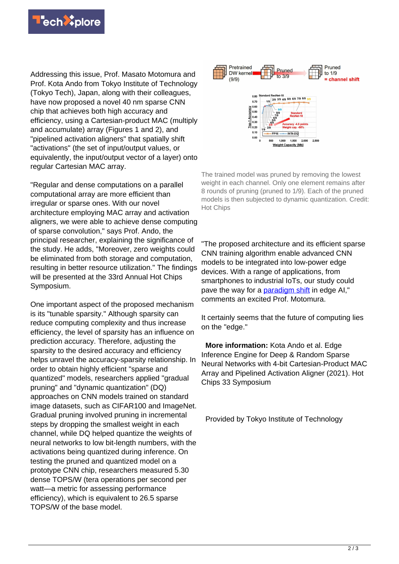

Addressing this issue, Prof. Masato Motomura and Prof. Kota Ando from Tokyo Institute of Technology (Tokyo Tech), Japan, along with their colleagues, have now proposed a novel 40 nm sparse CNN chip that achieves both high accuracy and efficiency, using a Cartesian-product MAC (multiply and accumulate) array (Figures 1 and 2), and "pipelined activation aligners" that spatially shift "activations" (the set of input/output values, or equivalently, the input/output vector of a layer) onto regular Cartesian MAC array.

"Regular and dense computations on a parallel computational array are more efficient than irregular or sparse ones. With our novel architecture employing MAC array and activation aligners, we were able to achieve dense computing of sparse convolution," says Prof. Ando, the principal researcher, explaining the significance of the study. He adds, "Moreover, zero weights could be eliminated from both storage and computation, resulting in better resource utilization." The findings will be presented at the 33rd Annual Hot Chips Symposium.

One important aspect of the proposed mechanism is its "tunable sparsity." Although sparsity can reduce computing complexity and thus increase efficiency, the level of sparsity has an influence on prediction accuracy. Therefore, adjusting the sparsity to the desired accuracy and efficiency helps unravel the accuracy-sparsity relationship. In order to obtain highly efficient "sparse and quantized" models, researchers applied "gradual pruning" and "dynamic quantization" (DQ) approaches on CNN models trained on standard image datasets, such as CIFAR100 and ImageNet. Gradual pruning involved pruning in incremental steps by dropping the smallest weight in each channel, while DQ helped quantize the weights of neural networks to low bit-length numbers, with the activations being quantized during inference. On testing the pruned and quantized model on a prototype CNN chip, researchers measured 5.30 dense TOPS/W (tera operations per second per watt—a metric for assessing performance efficiency), which is equivalent to 26.5 sparse TOPS/W of the base model.



The trained model was pruned by removing the lowest weight in each channel. Only one element remains after 8 rounds of pruning (pruned to 1/9). Each of the pruned models is then subjected to dynamic quantization. Credit: Hot Chips

"The proposed architecture and its efficient sparse CNN training algorithm enable advanced CNN models to be integrated into low-power edge devices. With a range of applications, from smartphones to industrial IoTs, our study could pave the way for a [paradigm shift](https://techxplore.com/tags/paradigm+shift/) in edge AI," comments an excited Prof. Motomura.

It certainly seems that the future of computing lies on the "edge."

 **More information:** Kota Ando et al. Edge Inference Engine for Deep & Random Sparse Neural Networks with 4-bit Cartesian-Product MAC Array and Pipelined Activation Aligner (2021). Hot Chips 33 Symposium

Provided by Tokyo Institute of Technology